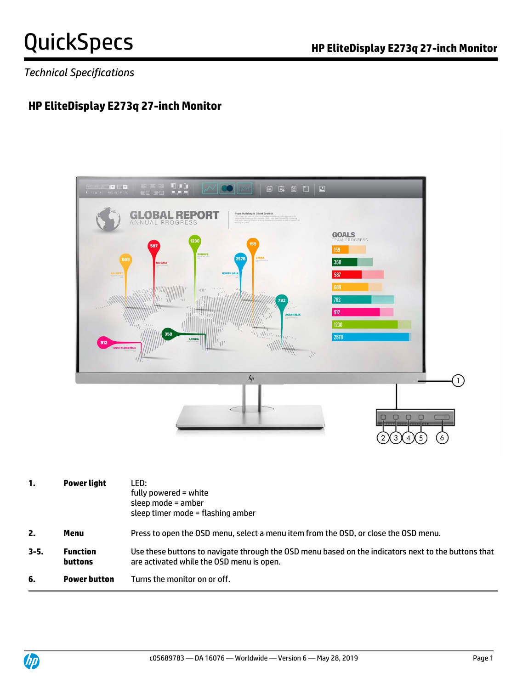### *Technical Specifications*

### **HP EliteDisplay E273q 27-inch Monitor**



| 1.       | Power light                       | LED:<br>fully powered = white<br>sleep mode = amber<br>sleep timer mode = flashing amber                                                         |  |
|----------|-----------------------------------|--------------------------------------------------------------------------------------------------------------------------------------------------|--|
| 2.       | Menu                              | Press to open the OSD menu, select a menu item from the OSD, or close the OSD menu.                                                              |  |
| $3 - 5.$ | <b>Function</b><br><b>buttons</b> | Use these buttons to navigate through the OSD menu based on the indicators next to the buttons that<br>are activated while the OSD menu is open. |  |
| 6.       | <b>Power button</b>               | Turns the monitor on or off.                                                                                                                     |  |

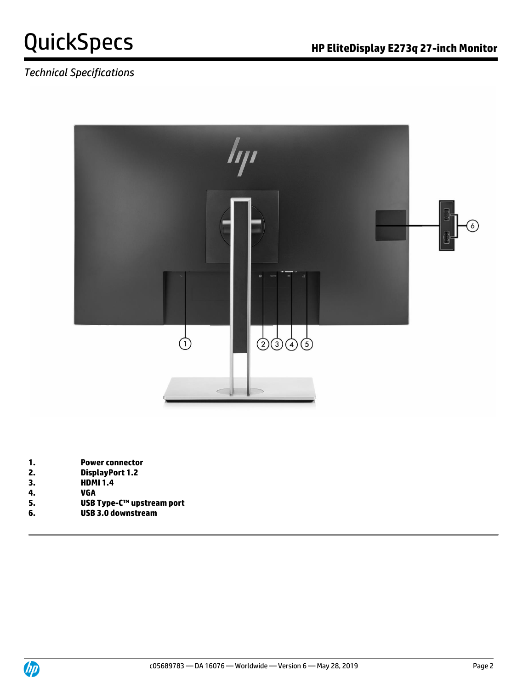

### *Technical Specifications*



- **1. Power connector**
- **2. DisplayPort 1.2**
- **3. HDMI 1.4**
- **4. VGA**
- **5. USB Type-C™ upstream port**
- **6. USB 3.0 downstream**

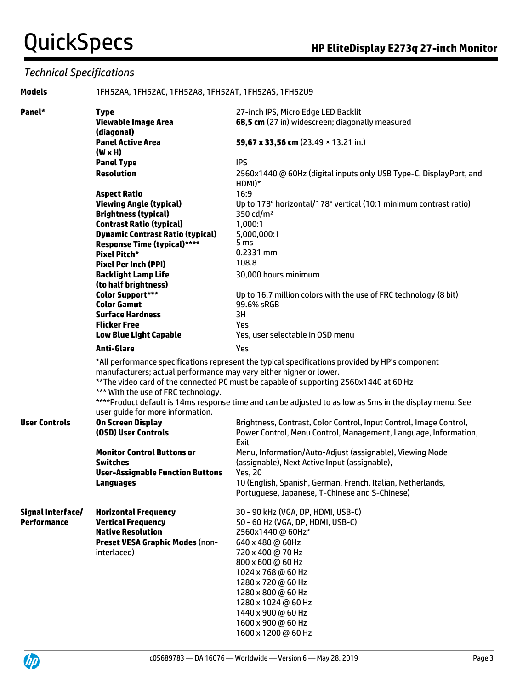### *Technical Specifications*

| <b>Models</b>        | 1FH52AA, 1FH52AC, 1FH52A8, 1FH52AT, 1FH52AS, 1FH52U9                                                                                          |                                                                                                                                                                                                   |  |
|----------------------|-----------------------------------------------------------------------------------------------------------------------------------------------|---------------------------------------------------------------------------------------------------------------------------------------------------------------------------------------------------|--|
| Panel*               | <b>Type</b>                                                                                                                                   | 27-inch IPS, Micro Edge LED Backlit                                                                                                                                                               |  |
|                      | <b>Viewable Image Area</b>                                                                                                                    | 68,5 cm (27 in) widescreen; diagonally measured                                                                                                                                                   |  |
|                      | (diagonal)                                                                                                                                    |                                                                                                                                                                                                   |  |
|                      | <b>Panel Active Area</b>                                                                                                                      | 59,67 x 33,56 cm (23.49 × 13.21 in.)                                                                                                                                                              |  |
|                      | $(W \times H)$                                                                                                                                |                                                                                                                                                                                                   |  |
|                      | <b>Panel Type</b>                                                                                                                             | <b>IPS</b>                                                                                                                                                                                        |  |
|                      | <b>Resolution</b>                                                                                                                             | 2560x1440 @ 60Hz (digital inputs only USB Type-C, DisplayPort, and                                                                                                                                |  |
|                      |                                                                                                                                               | $HDMI)^*$                                                                                                                                                                                         |  |
|                      | <b>Aspect Ratio</b>                                                                                                                           | 16:9                                                                                                                                                                                              |  |
|                      | <b>Viewing Angle (typical)</b>                                                                                                                | Up to 178° horizontal/178° vertical (10:1 minimum contrast ratio)                                                                                                                                 |  |
|                      | <b>Brightness (typical)</b>                                                                                                                   | 350 cd/m <sup>2</sup>                                                                                                                                                                             |  |
|                      | <b>Contrast Ratio (typical)</b>                                                                                                               | 1,000:1                                                                                                                                                                                           |  |
|                      | <b>Dynamic Contrast Ratio (typical)</b>                                                                                                       | 5,000,000:1                                                                                                                                                                                       |  |
|                      | <b>Response Time (typical)****</b>                                                                                                            | 5 ms                                                                                                                                                                                              |  |
|                      | <b>Pixel Pitch*</b>                                                                                                                           | $0.2331$ mm                                                                                                                                                                                       |  |
|                      | <b>Pixel Per Inch (PPI)</b>                                                                                                                   | 108.8                                                                                                                                                                                             |  |
|                      | <b>Backlight Lamp Life</b>                                                                                                                    | 30,000 hours minimum                                                                                                                                                                              |  |
|                      | (to half brightness)                                                                                                                          |                                                                                                                                                                                                   |  |
|                      | <b>Color Support***</b>                                                                                                                       | Up to 16.7 million colors with the use of FRC technology (8 bit)                                                                                                                                  |  |
|                      | <b>Color Gamut</b>                                                                                                                            | 99.6% sRGB                                                                                                                                                                                        |  |
|                      | <b>Surface Hardness</b>                                                                                                                       | 3H                                                                                                                                                                                                |  |
|                      | <b>Flicker Free</b>                                                                                                                           | Yes.                                                                                                                                                                                              |  |
|                      | <b>Low Blue Light Capable</b>                                                                                                                 | Yes, user selectable in OSD menu                                                                                                                                                                  |  |
|                      | <b>Anti-Glare</b>                                                                                                                             | Yes                                                                                                                                                                                               |  |
|                      |                                                                                                                                               | *All performance specifications represent the typical specifications provided by HP's component                                                                                                   |  |
|                      | manufacturers; actual performance may vary either higher or lower.<br>*** With the use of FRC technology.<br>user guide for more information. | ** The video card of the connected PC must be capable of supporting 2560x1440 at 60 Hz<br>****Product default is 14ms response time and can be adjusted to as low as 5ms in the display menu. See |  |
| <b>User Controls</b> | <b>On Screen Display</b>                                                                                                                      | Brightness, Contrast, Color Control, Input Control, Image Control,                                                                                                                                |  |
|                      | (OSD) User Controls                                                                                                                           | Power Control, Menu Control, Management, Language, Information,                                                                                                                                   |  |
|                      |                                                                                                                                               | Exit                                                                                                                                                                                              |  |
|                      | <b>Monitor Control Buttons or</b>                                                                                                             | Menu, Information/Auto-Adjust (assignable), Viewing Mode                                                                                                                                          |  |
|                      | <b>Switches</b>                                                                                                                               | (assignable), Next Active Input (assignable),                                                                                                                                                     |  |
|                      | <b>User-Assignable Function Buttons</b>                                                                                                       | <b>Yes, 20</b>                                                                                                                                                                                    |  |
|                      | <b>Languages</b>                                                                                                                              | 10 (English, Spanish, German, French, Italian, Netherlands,                                                                                                                                       |  |
|                      |                                                                                                                                               | Portuguese, Japanese, T-Chinese and S-Chinese)                                                                                                                                                    |  |
| Signal Interface/    | <b>Horizontal Frequency</b>                                                                                                                   | 30 - 90 kHz (VGA, DP, HDMI, USB-C)                                                                                                                                                                |  |
| <b>Performance</b>   | <b>Vertical Frequency</b>                                                                                                                     | 50 - 60 Hz (VGA, DP, HDMI, USB-C)                                                                                                                                                                 |  |
|                      | <b>Native Resolution</b>                                                                                                                      | 2560x1440@60Hz*                                                                                                                                                                                   |  |
|                      | <b>Preset VESA Graphic Modes (non-</b>                                                                                                        | 640 x 480 @ 60Hz                                                                                                                                                                                  |  |
|                      | interlaced)                                                                                                                                   | 720 x 400 @ 70 Hz                                                                                                                                                                                 |  |
|                      |                                                                                                                                               | 800 x 600 @ 60 Hz                                                                                                                                                                                 |  |
|                      |                                                                                                                                               | 1024 x 768 @ 60 Hz                                                                                                                                                                                |  |
|                      |                                                                                                                                               | 1280 x 720 @ 60 Hz                                                                                                                                                                                |  |
|                      |                                                                                                                                               | 1280 x 800 @ 60 Hz                                                                                                                                                                                |  |
|                      |                                                                                                                                               | 1280 x 1024 @ 60 Hz                                                                                                                                                                               |  |
|                      |                                                                                                                                               | 1440 x 900 @ 60 Hz                                                                                                                                                                                |  |
|                      |                                                                                                                                               | 1600 x 900 @ 60 Hz                                                                                                                                                                                |  |
|                      |                                                                                                                                               | 1600 x 1200 @ 60 Hz                                                                                                                                                                               |  |

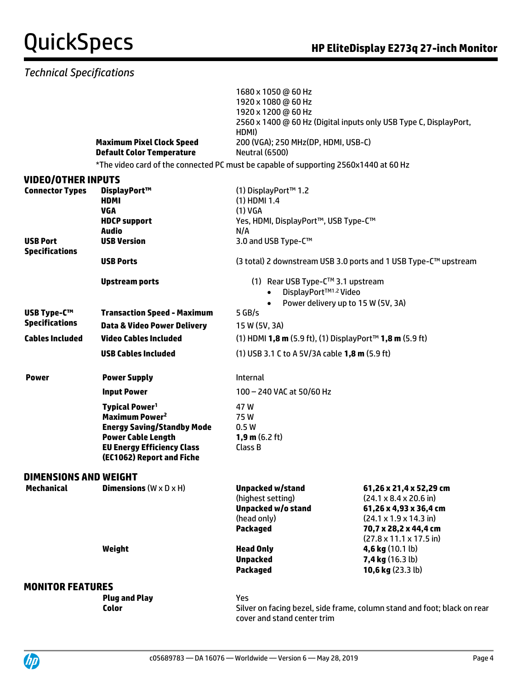### *Technical Specifications*

|                                           | <b>Maximum Pixel Clock Speed</b><br><b>Default Color Temperature</b>                                                                                                                               | 1680 x 1050 @ 60 Hz<br>1920 x 1080 @ 60 Hz<br>1920 x 1200 @ 60 Hz<br>HDMI)<br>200 (VGA); 250 MHz(DP, HDMI, USB-C)<br><b>Neutral (6500)</b> | 2560 x 1400 @ 60 Hz (Digital inputs only USB Type C, DisplayPort,                                                                                                                                                     |
|-------------------------------------------|----------------------------------------------------------------------------------------------------------------------------------------------------------------------------------------------------|--------------------------------------------------------------------------------------------------------------------------------------------|-----------------------------------------------------------------------------------------------------------------------------------------------------------------------------------------------------------------------|
|                                           | *The video card of the connected PC must be capable of supporting 2560x1440 at 60 Hz                                                                                                               |                                                                                                                                            |                                                                                                                                                                                                                       |
| <b>VIDEO/OTHER INPUTS</b>                 |                                                                                                                                                                                                    |                                                                                                                                            |                                                                                                                                                                                                                       |
| <b>Connector Types</b><br><b>USB Port</b> | DisplayPort™<br><b>HDMI</b><br><b>VGA</b><br><b>HDCP support</b><br><b>Audio</b><br><b>USB Version</b>                                                                                             | (1) DisplayPort™ 1.2<br>$(1)$ HDMI 1.4<br>(1) VGA<br>Yes, HDMI, DisplayPort™, USB Type-C™<br>N/A<br>3.0 and USB Type-C™                    |                                                                                                                                                                                                                       |
| <b>Specifications</b>                     | <b>USB Ports</b>                                                                                                                                                                                   |                                                                                                                                            | (3 total) 2 downstream USB 3.0 ports and 1 USB Type-C™ upstream                                                                                                                                                       |
|                                           | <b>Upstream ports</b>                                                                                                                                                                              | (1) Rear USB Type-C™ 3.1 upstream<br>DisplayPort™1.2 Video                                                                                 | Power delivery up to 15 W (5V, 3A)                                                                                                                                                                                    |
| <b>USB Type-C™</b>                        | <b>Transaction Speed - Maximum</b>                                                                                                                                                                 | $5$ GB/s                                                                                                                                   |                                                                                                                                                                                                                       |
| <b>Specifications</b>                     | <b>Data &amp; Video Power Delivery</b>                                                                                                                                                             | 15 W (5V, 3A)                                                                                                                              |                                                                                                                                                                                                                       |
| <b>Cables Included</b>                    | <b>Video Cables Included</b>                                                                                                                                                                       | (1) HDMI 1,8 m (5.9 ft), (1) DisplayPort™ 1,8 m (5.9 ft)                                                                                   |                                                                                                                                                                                                                       |
|                                           | <b>USB Cables Included</b>                                                                                                                                                                         | (1) USB 3.1 C to A 5V/3A cable 1,8 m (5.9 ft)                                                                                              |                                                                                                                                                                                                                       |
| <b>Power</b>                              | <b>Power Supply</b>                                                                                                                                                                                | <b>Internal</b>                                                                                                                            |                                                                                                                                                                                                                       |
|                                           | <b>Input Power</b>                                                                                                                                                                                 | 100 - 240 VAC at 50/60 Hz                                                                                                                  |                                                                                                                                                                                                                       |
|                                           | <b>Typical Power<sup>1</sup></b><br>Maximum Power <sup>2</sup><br><b>Energy Saving/Standby Mode</b><br><b>Power Cable Length</b><br><b>EU Energy Efficiency Class</b><br>(EC1062) Report and Fiche | 47 W<br>75W<br>0.5W<br><b>1,9 m</b> $(6.2 \text{ ft})$<br>Class B                                                                          |                                                                                                                                                                                                                       |
| DIMENSIONS AND WEIGHT                     |                                                                                                                                                                                                    |                                                                                                                                            |                                                                                                                                                                                                                       |
| <b>Mechanical</b>                         | <b>Dimensions</b> ( $W \times D \times H$ )                                                                                                                                                        | <b>Unpacked w/stand</b><br>(highest setting)<br>Unpacked w/o stand<br>(head only)<br><b>Packaged</b>                                       | 61,26 x 21,4 x 52,29 cm<br>$(24.1 \times 8.4 \times 20.6 \text{ in})$<br>61,26 x 4,93 x 36,4 cm<br>$(24.1 \times 1.9 \times 14.3 \text{ in})$<br>70,7 x 28,2 x 44,4 cm<br>$(27.8 \times 11.1 \times 17.5 \text{ in})$ |
|                                           | Weight                                                                                                                                                                                             | <b>Head Only</b><br><b>Unpacked</b><br><b>Packaged</b>                                                                                     | 4,6 kg $(10.1 \text{ lb})$<br>7,4 kg (16.3 lb)<br>10,6 kg $(23.3lb)$                                                                                                                                                  |
| <b>MONITOR FEATURES</b>                   |                                                                                                                                                                                                    |                                                                                                                                            |                                                                                                                                                                                                                       |
|                                           | <b>Plug and Play</b><br>Color                                                                                                                                                                      | Yes                                                                                                                                        | Silver on facing bezel, side frame, column stand and foot; black on rear                                                                                                                                              |

cover and stand center trim

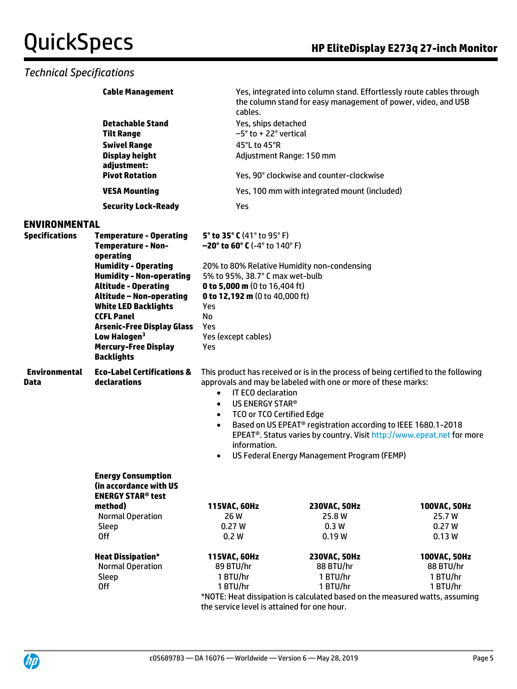#### *Technical Specifications*

|                              | <b>Cable Management</b>                                                  | cables.                                                              | Yes, integrated into column stand. Effortlessly route cables through<br>the column stand for easy management of power, video, and USB               |              |  |
|------------------------------|--------------------------------------------------------------------------|----------------------------------------------------------------------|-----------------------------------------------------------------------------------------------------------------------------------------------------|--------------|--|
|                              | <b>Detachable Stand</b>                                                  | Yes, ships detached                                                  |                                                                                                                                                     |              |  |
|                              | <b>Tilt Range</b>                                                        | $-5^\circ$ to + 22 $^\circ$ vertical                                 |                                                                                                                                                     |              |  |
|                              | <b>Swivel Range</b>                                                      | 45°L to 45°R                                                         |                                                                                                                                                     |              |  |
|                              | <b>Display height</b><br>adjustment:                                     |                                                                      | Adjustment Range: 150 mm                                                                                                                            |              |  |
|                              | <b>Pivot Rotation</b>                                                    |                                                                      | Yes, 90° clockwise and counter-clockwise                                                                                                            |              |  |
|                              | <b>VESA Mounting</b>                                                     |                                                                      | Yes, 100 mm with integrated mount (included)                                                                                                        |              |  |
|                              | <b>Security Lock-Ready</b>                                               | Yes                                                                  |                                                                                                                                                     |              |  |
| <b>ENVIRONMENTAL</b>         |                                                                          |                                                                      |                                                                                                                                                     |              |  |
| <b>Specifications</b>        | <b>Temperature - Operating</b><br><b>Temperature - Non-</b><br>operating | 5° to 35° C (41° to 95° F)<br>$-20^{\circ}$ to 60° C (-4° to 140° F) |                                                                                                                                                     |              |  |
|                              | <b>Humidity - Operating</b>                                              |                                                                      | 20% to 80% Relative Humidity non-condensing                                                                                                         |              |  |
|                              | <b>Humidity - Non-operating</b>                                          | 5% to 95%, 38.7° C max wet-bulb                                      |                                                                                                                                                     |              |  |
|                              | <b>Altitude - Operating</b><br><b>Altitude - Non-operating</b>           | 0 to 5,000 m (0 to 16,404 ft)<br>0 to 12,192 m (0 to 40,000 ft)      |                                                                                                                                                     |              |  |
|                              | <b>White LED Backlights</b>                                              | Yes                                                                  |                                                                                                                                                     |              |  |
|                              | <b>CCFL Panel</b>                                                        | No                                                                   |                                                                                                                                                     |              |  |
|                              | <b>Arsenic-Free Display Glass</b>                                        | Yes                                                                  |                                                                                                                                                     |              |  |
|                              | Low Halogen <sup>3</sup>                                                 | Yes (except cables)                                                  |                                                                                                                                                     |              |  |
|                              | <b>Mercury-Free Display</b>                                              | Yes                                                                  |                                                                                                                                                     |              |  |
|                              | <b>Backlights</b>                                                        |                                                                      |                                                                                                                                                     |              |  |
| <b>Environmental</b><br>Data | <b>Eco-Label Certifications &amp;</b><br>declarations                    |                                                                      | This product has received or is in the process of being certified to the following<br>approvals and may be labeled with one or more of these marks: |              |  |
|                              |                                                                          | IT ECO declaration<br>$\bullet$                                      |                                                                                                                                                     |              |  |
|                              |                                                                          | US ENERGY STAR®<br>$\bullet$<br><b>TCO or TCO Certified Edge</b>     |                                                                                                                                                     |              |  |
|                              |                                                                          | $\bullet$<br>$\bullet$                                               | Based on US EPEAT <sup>®</sup> registration according to IEEE 1680.1-2018                                                                           |              |  |
|                              |                                                                          |                                                                      | EPEAT <sup>®</sup> . Status varies by country. Visit http://www.epeat.net for more                                                                  |              |  |
|                              |                                                                          | information.                                                         |                                                                                                                                                     |              |  |
|                              |                                                                          | $\bullet$                                                            | US Federal Energy Management Program (FEMP)                                                                                                         |              |  |
|                              | <b>Energy Consumption</b>                                                |                                                                      |                                                                                                                                                     |              |  |
|                              | (in accordance with US                                                   |                                                                      |                                                                                                                                                     |              |  |
|                              | <b>ENERGY STAR<sup>®</sup> test</b>                                      |                                                                      |                                                                                                                                                     |              |  |
|                              | method)                                                                  | 115VAC, 60Hz                                                         | 230VAC, 50Hz                                                                                                                                        | 100VAC, 50Hz |  |
|                              | <b>Normal Operation</b>                                                  | 26 W                                                                 | 25.8 W                                                                                                                                              | 25.7W        |  |
|                              | Sleep                                                                    | 0.27W                                                                | 0.3W                                                                                                                                                | 0.27W        |  |
|                              | <b>Off</b>                                                               | 0.2W                                                                 | 0.19W                                                                                                                                               | 0.13W        |  |
|                              | <b>Heat Dissipation*</b>                                                 | 115VAC, 60Hz                                                         | 230VAC, 50Hz                                                                                                                                        | 100VAC, 50Hz |  |
|                              | <b>Normal Operation</b>                                                  | 89 BTU/hr                                                            | 88 BTU/hr                                                                                                                                           | 88 BTU/hr    |  |
|                              | Sleep                                                                    | 1 BTU/hr                                                             | 1 BTU/hr                                                                                                                                            | 1 BTU/hr     |  |
|                              | 0ff                                                                      | 1 BTU/hr                                                             | 1 BTU/hr                                                                                                                                            | 1 BTU/hr     |  |

\*NOTE: Heat dissipation is calculated based on the measured watts, assuming the service level is attained for one hour.

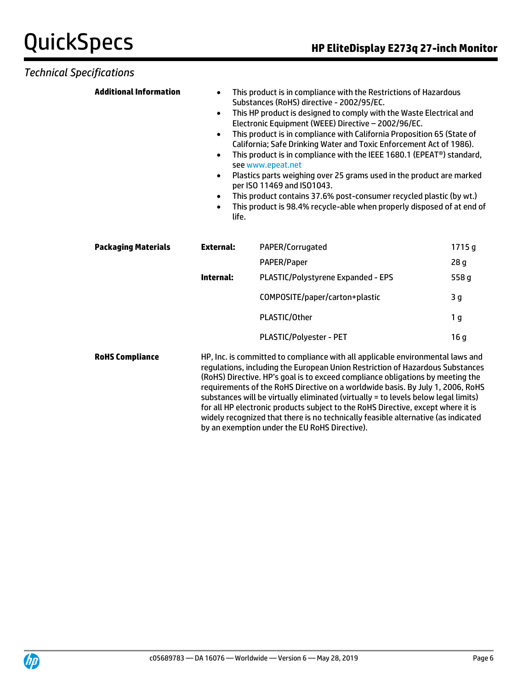#### *Technical Specifications*

| <b>Additional Information</b> | $\bullet$<br>$\bullet$<br>$\bullet$<br>$\bullet$<br>$\bullet$<br>$\bullet$<br>life. | This product is in compliance with the Restrictions of Hazardous<br>Substances (RoHS) directive - 2002/95/EC.<br>This HP product is designed to comply with the Waste Electrical and<br>Electronic Equipment (WEEE) Directive - 2002/96/EC.<br>This product is in compliance with California Proposition 65 (State of<br>California; Safe Drinking Water and Toxic Enforcement Act of 1986).<br>This product is in compliance with the IEEE 1680.1 (EPEAT®) standard,<br>see www.epeat.net<br>Plastics parts weighing over 25 grams used in the product are marked<br>per ISO 11469 and ISO1043.<br>This product contains 37.6% post-consumer recycled plastic (by wt.)<br>This product is 98.4% recycle-able when properly disposed of at end of |                 |
|-------------------------------|-------------------------------------------------------------------------------------|---------------------------------------------------------------------------------------------------------------------------------------------------------------------------------------------------------------------------------------------------------------------------------------------------------------------------------------------------------------------------------------------------------------------------------------------------------------------------------------------------------------------------------------------------------------------------------------------------------------------------------------------------------------------------------------------------------------------------------------------------|-----------------|
| <b>Packaging Materials</b>    | <b>External:</b>                                                                    | PAPER/Corrugated                                                                                                                                                                                                                                                                                                                                                                                                                                                                                                                                                                                                                                                                                                                                  | 1715g           |
|                               |                                                                                     | PAPER/Paper                                                                                                                                                                                                                                                                                                                                                                                                                                                                                                                                                                                                                                                                                                                                       | 28 <sub>g</sub> |
|                               | <b>Internal:</b>                                                                    | PLASTIC/Polystyrene Expanded - EPS                                                                                                                                                                                                                                                                                                                                                                                                                                                                                                                                                                                                                                                                                                                | 558 g           |
|                               |                                                                                     | COMPOSITE/paper/carton+plastic                                                                                                                                                                                                                                                                                                                                                                                                                                                                                                                                                                                                                                                                                                                    | 3 <sub>g</sub>  |
|                               |                                                                                     | PLASTIC/Other                                                                                                                                                                                                                                                                                                                                                                                                                                                                                                                                                                                                                                                                                                                                     | 1 <sub>g</sub>  |
|                               |                                                                                     | PLASTIC/Polyester - PET                                                                                                                                                                                                                                                                                                                                                                                                                                                                                                                                                                                                                                                                                                                           | 16 <sub>g</sub> |
| <b>RoHS Compliance</b>        |                                                                                     | HP, Inc. is committed to compliance with all applicable environmental laws and<br>regulations, including the European Union Restriction of Hazardous Substances<br>(RoHS) Directive. HP's goal is to exceed compliance obligations by meeting the<br>requirements of the RoHS Directive on a worldwide basis. By July 1, 2006, RoHS<br>substances will be virtually eliminated (virtually = to levels below legal limits)<br>for all HP electronic products subject to the RoHS Directive, except where it is<br>widely recognized that there is no technically feasible alternative (as indicated                                                                                                                                                |                 |

by an exemption under the EU RoHS Directive).

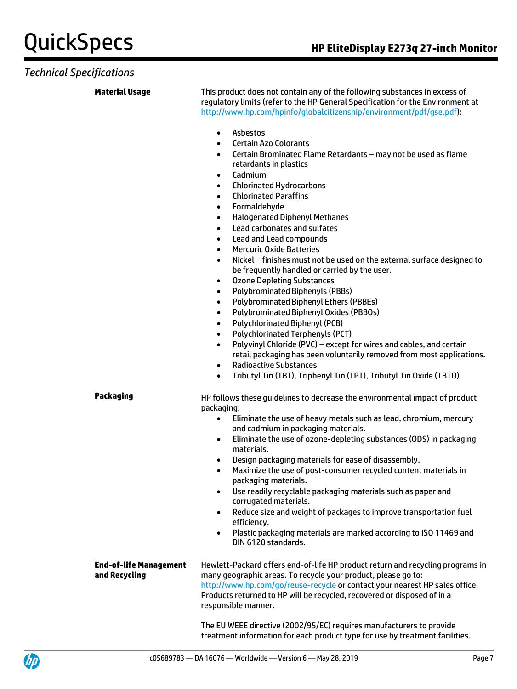#### *Technical Specifications*

**Material Usage** This product does not contain any of the following substances in excess of regulatory limits (refer to the HP General Specification for the Environment at [http://www.hp.com/hpinfo/globalcitizenship/environment/pdf/gse.pdf\)](http://www.hp.com/hpinfo/globalcitizenship/environment/pdf/gse.pdf):

- Asbestos
- Certain Azo Colorants
- Certain Brominated Flame Retardants may not be used as flame retardants in plastics
- Cadmium
- Chlorinated Hydrocarbons
- Chlorinated Paraffins
- Formaldehyde
- Halogenated Diphenyl Methanes
- Lead carbonates and sulfates
- Lead and Lead compounds
- **Mercuric Oxide Batteries**
- Nickel finishes must not be used on the external surface designed to be frequently handled or carried by the user.
- Ozone Depleting Substances
- Polybrominated Biphenyls (PBBs)
- Polybrominated Biphenyl Ethers (PBBEs)
- Polybrominated Biphenyl Oxides (PBBOs)
- Polychlorinated Biphenyl (PCB)
- Polychlorinated Terphenyls (PCT)
- Polyvinyl Chloride (PVC) except for wires and cables, and certain retail packaging has been voluntarily removed from most applications.
- Radioactive Substances
- Tributyl Tin (TBT), Triphenyl Tin (TPT), Tributyl Tin Oxide (TBTO)

**Packaging HP follows these guidelines to decrease the environmental impact of product** packaging:

- Eliminate the use of heavy metals such as lead, chromium, mercury and cadmium in packaging materials.
- Eliminate the use of ozone-depleting substances (ODS) in packaging materials.
- Design packaging materials for ease of disassembly.
- Maximize the use of post-consumer recycled content materials in packaging materials.
- Use readily recyclable packaging materials such as paper and corrugated materials.
- Reduce size and weight of packages to improve transportation fuel efficiency.
- Plastic packaging materials are marked according to ISO 11469 and DIN 6120 standards.

**End-of-life Management and Recycling** Hewlett-Packard offers end-of-life HP product return and recycling programs in many geographic areas. To recycle your product, please go to: <http://www.hp.com/go/reuse-recycle> or contact your nearest HP sales office. Products returned to HP will be recycled, recovered or disposed of in a responsible manner.

> The EU WEEE directive (2002/95/EC) requires manufacturers to provide treatment information for each product type for use by treatment facilities.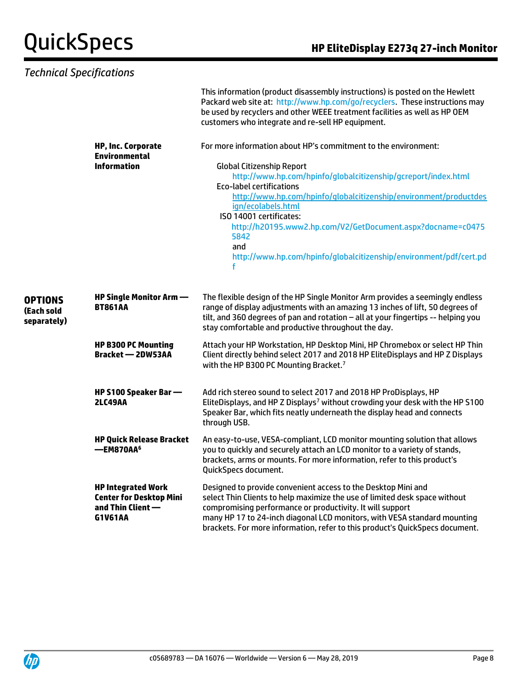|                                             | <b>Technical Specifications</b>                                                               |                                                                                                                                                                                                                                                                                                                                                                                                                                                                                   |
|---------------------------------------------|-----------------------------------------------------------------------------------------------|-----------------------------------------------------------------------------------------------------------------------------------------------------------------------------------------------------------------------------------------------------------------------------------------------------------------------------------------------------------------------------------------------------------------------------------------------------------------------------------|
|                                             |                                                                                               | This information (product disassembly instructions) is posted on the Hewlett<br>Packard web site at: http://www.hp.com/go/recyclers. These instructions may<br>be used by recyclers and other WEEE treatment facilities as well as HP OEM<br>customers who integrate and re-sell HP equipment.                                                                                                                                                                                    |
|                                             | <b>HP, Inc. Corporate</b><br><b>Environmental</b><br><b>Information</b>                       | For more information about HP's commitment to the environment:<br><b>Global Citizenship Report</b><br>http://www.hp.com/hpinfo/globalcitizenship/gcreport/index.html<br><b>Eco-label certifications</b><br>http://www.hp.com/hpinfo/qlobalcitizenship/environment/productdes<br>ign/ecolabels.html<br>ISO 14001 certificates:<br>http://h20195.www2.hp.com/V2/GetDocument.aspx?docname=c0475<br>5842<br>and<br>http://www.hp.com/hpinfo/globalcitizenship/environment/pdf/cert.pd |
| <b>OPTIONS</b><br>(Each sold<br>separately) | HP Single Monitor Arm —<br><b>BT861AA</b>                                                     | The flexible design of the HP Single Monitor Arm provides a seemingly endless<br>range of display adjustments with an amazing 13 inches of lift, 50 degrees of<br>tilt, and 360 degrees of pan and rotation - all at your fingertips -- helping you<br>stay comfortable and productive throughout the day.                                                                                                                                                                        |
|                                             | <b>HP B300 PC Mounting</b><br><b>Bracket - 2DW53AA</b>                                        | Attach your HP Workstation, HP Desktop Mini, HP Chromebox or select HP Thin<br>Client directly behind select 2017 and 2018 HP EliteDisplays and HP Z Displays<br>with the HP B300 PC Mounting Bracket. <sup>7</sup>                                                                                                                                                                                                                                                               |
|                                             | HP S100 Speaker Bar -<br><b>2LC49AA</b>                                                       | Add rich stereo sound to select 2017 and 2018 HP ProDisplays, HP<br>EliteDisplays, and HP Z Displays <sup>7</sup> without crowding your desk with the HP S100<br>Speaker Bar, which fits neatly underneath the display head and connects<br>through USB.                                                                                                                                                                                                                          |
|                                             | <b>HP Quick Release Bracket</b><br>-EM870AA <sup>6</sup>                                      | An easy-to-use, VESA-compliant, LCD monitor mounting solution that allows<br>you to quickly and securely attach an LCD monitor to a variety of stands,<br>brackets, arms or mounts. For more information, refer to this product's<br>QuickSpecs document.                                                                                                                                                                                                                         |
|                                             | <b>HP Integrated Work</b><br><b>Center for Desktop Mini</b><br>and Thin Client $-$<br>G1V61AA | Designed to provide convenient access to the Desktop Mini and<br>select Thin Clients to help maximize the use of limited desk space without<br>compromising performance or productivity. It will support<br>many HP 17 to 24-inch diagonal LCD monitors, with VESA standard mounting<br>brackets. For more information, refer to this product's QuickSpecs document.                                                                                                              |

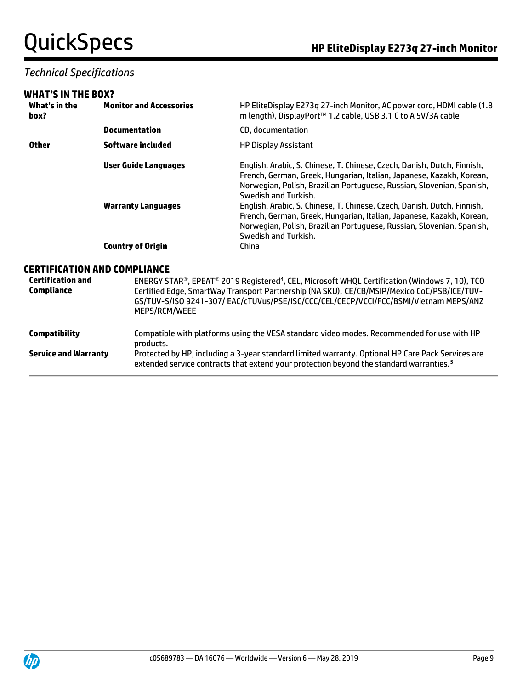#### *Technical Specifications*

#### **WHAT'S IN THE BOX?**

| What's in the<br>box? | <b>Monitor and Accessories</b> | HP EliteDisplay E273q 27-inch Monitor, AC power cord, HDMI cable (1.8<br>m length), DisplayPort™ 1.2 cable, USB 3.1 C to A 5V/3A cable                                                                                                           |  |  |
|-----------------------|--------------------------------|--------------------------------------------------------------------------------------------------------------------------------------------------------------------------------------------------------------------------------------------------|--|--|
|                       | <b>Documentation</b>           | CD, documentation                                                                                                                                                                                                                                |  |  |
| <b>Other</b>          | Software included              | <b>HP Display Assistant</b>                                                                                                                                                                                                                      |  |  |
|                       | <b>User Guide Languages</b>    | English, Arabic, S. Chinese, T. Chinese, Czech, Danish, Dutch, Finnish,<br>French, German, Greek, Hungarian, Italian, Japanese, Kazakh, Korean,<br>Norwegian, Polish, Brazilian Portuguese, Russian, Slovenian, Spanish,<br>Swedish and Turkish. |  |  |
|                       | <b>Warranty Languages</b>      | English, Arabic, S. Chinese, T. Chinese, Czech, Danish, Dutch, Finnish,<br>French, German, Greek, Hungarian, Italian, Japanese, Kazakh, Korean,<br>Norwegian, Polish, Brazilian Portuguese, Russian, Slovenian, Spanish,<br>Swedish and Turkish. |  |  |
|                       | <b>Country of Origin</b>       | China                                                                                                                                                                                                                                            |  |  |
|                       | EDTIEICATION AND COMDI IANCE   |                                                                                                                                                                                                                                                  |  |  |

#### **CERTIFICATION AND COMPLIANCE**

| <b>Certification and</b><br>Compliance | ENERGY STAR®, EPEAT® 2019 Registered <sup>4</sup> , CEL, Microsoft WHQL Certification (Windows 7, 10), TCO<br>Certified Edge, SmartWay Transport Partnership (NA SKU), CE/CB/MSIP/Mexico CoC/PSB/ICE/TUV-<br>GS/TUV-S/ISO 9241-307/EAC/cTUVus/PSE/ISC/CCC/CEL/CECP/VCCI/FCC/BSMI/Vietnam MEPS/ANZ<br>MEPS/RCM/WEEE |
|----------------------------------------|--------------------------------------------------------------------------------------------------------------------------------------------------------------------------------------------------------------------------------------------------------------------------------------------------------------------|
| <b>Compatibility</b>                   | Compatible with platforms using the VESA standard video modes. Recommended for use with HP<br>products.                                                                                                                                                                                                            |
| <b>Service and Warranty</b>            | Protected by HP, including a 3-year standard limited warranty. Optional HP Care Pack Services are<br>extended service contracts that extend your protection beyond the standard warranties. <sup>5</sup>                                                                                                           |

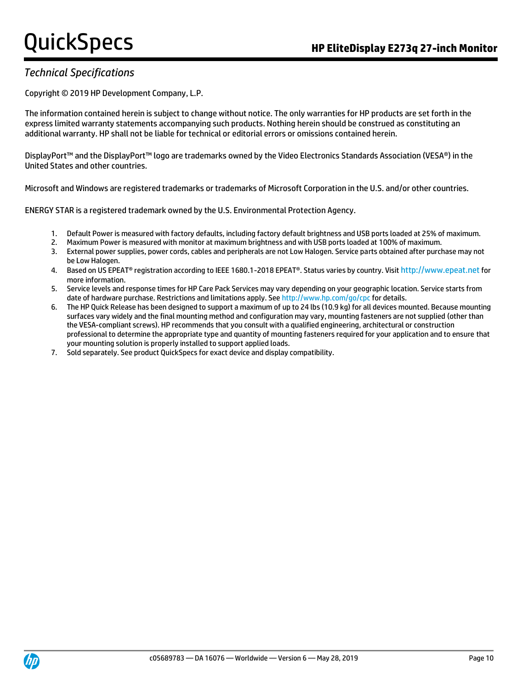### *Technical Specifications*

Copyright © 2019 HP Development Company, L.P.

The information contained herein is subject to change without notice. The only warranties for HP products are set forth in the express limited warranty statements accompanying such products. Nothing herein should be construed as constituting an additional warranty. HP shall not be liable for technical or editorial errors or omissions contained herein.

DisplayPort™ and the DisplayPort™ logo are trademarks owned by the Video Electronics Standards Association (VESA®) in the United States and other countries.

Microsoft and Windows are registered trademarks or trademarks of Microsoft Corporation in the U.S. and/or other countries.

ENERGY STAR is a registered trademark owned by the U.S. Environmental Protection Agency.

- 1. Default Power is measured with factory defaults, including factory default brightness and USB ports loaded at 25% of maximum.
- 2. Maximum Power is measured with monitor at maximum brightness and with USB ports loaded at 100% of maximum.
- 3. External power supplies, power cords, cables and peripherals are not Low Halogen. Service parts obtained after purchase may not be Low Halogen.
- 4. Based on US EPEAT® registration according to IEEE 1680.1-2018 EPEAT®. Status varies by country. Visit http://www.epeat.net for more information.
- 5. Service levels and response times for HP Care Pack Services may vary depending on your geographic location. Service starts from date of hardware purchase. Restrictions and limitations apply. See http://www.hp.com/go/cpc for details.
- 6. The HP Quick Release has been designed to support a maximum of up to 24 lbs (10.9 kg) for all devices mounted. Because mounting surfaces vary widely and the final mounting method and configuration may vary, mounting fasteners are not supplied (other than the VESA-compliant screws). HP recommends that you consult with a qualified engineering, architectural or construction professional to determine the appropriate type and quantity of mounting fasteners required for your application and to ensure that your mounting solution is properly installed to support applied loads.
- 7. Sold separately. See product QuickSpecs for exact device and display compatibility.